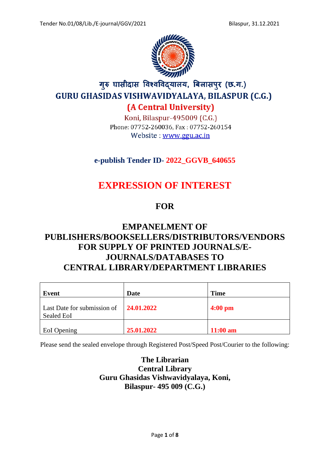

# गुरु घासीदास विश्वविद्यालय, बिलासपुर (छ.ग.) **GURU GHASIDAS VISHWAVIDYALAYA, BILASPUR (C.G.)** (A Central University)

Koni, Bilaspur-495009 (C.G.) Phone: 07752-260036, Fax: 07752-260154 Website: www.ggu.ac.in

### **e-publish Tender ID- 2022\_GGVB\_640655**

# **EXPRESSION OF INTEREST**

## **FOR**

## **EMPANELMENT OF PUBLISHERS/BOOKSELLERS/DISTRIBUTORS/VENDORS FOR SUPPLY OF PRINTED JOURNALS/E-JOURNALS/DATABASES TO CENTRAL LIBRARY/DEPARTMENT LIBRARIES**

| Event                                            | Date       | <b>Time</b>       |
|--------------------------------------------------|------------|-------------------|
| Last Date for submission of<br><b>Sealed EoI</b> | 24.01.2022 | $4:00 \text{ pm}$ |
| EoI Opening                                      | 25.01.2022 | $11:00$ am        |

Please send the sealed envelope through Registered Post/Speed Post/Courier to the following:

**The Librarian Central Library Guru Ghasidas Vishwavidyalaya, Koni, Bilaspur- 495 009 (C.G.)**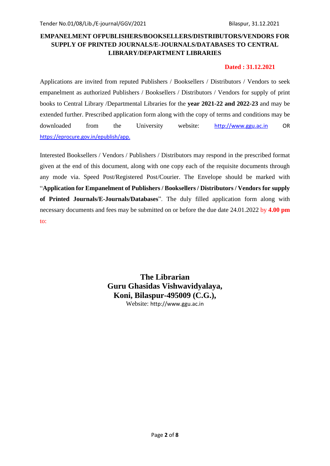### **EMPANELMENT OFPUBLISHERS/BOOKSELLERS/DISTRIBUTORS/VENDORS FOR SUPPLY OF PRINTED JOURNALS/E-JOURNALS/DATABASES TO CENTRAL LIBRARY/DEPARTMENT LIBRARIES**

#### **Dated : 31.12.2021**

Applications are invited from reputed Publishers / Booksellers / Distributors / Vendors to seek empanelment as authorized Publishers / Booksellers / Distributors / Vendors for supply of print books to Central Library /Departmental Libraries for the **year 2021-22 and 2022-23** and may be extended further. Prescribed application form along with the copy of terms and conditions may be downloaded from the University website: [http://www.ggu.ac.in](http://www.ggu.ac.in/) OR https://eprocure.gov.in/epublish/app.

Interested Booksellers / Vendors / Publishers / Distributors may respond in the prescribed format given at the end of this document, along with one copy each of the requisite documents through any mode via. Speed Post/Registered Post/Courier. The Envelope should be marked with "**Application for Empanelment of Publishers / Booksellers / Distributors / Vendors for supply of Printed Journals/E-Journals/Databases**". The duly filled application form along with necessary documents and fees may be submitted on or before the due date 24.01.2022 by **4.00 pm** to:

> **The Librarian Guru Ghasidas Vishwavidyalaya, Koni, Bilaspur-495009 (C.G.),** Website: http://www.ggu.ac.in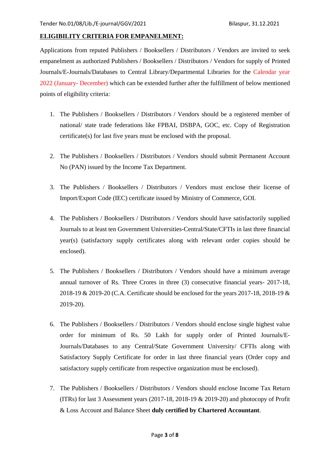#### **ELIGIBILITY CRITERIA FOR EMPANELMENT:**

Applications from reputed Publishers / Booksellers / Distributors / Vendors are invited to seek empanelment as authorized Publishers / Booksellers / Distributors / Vendors for supply of Printed Journals/E-Journals/Databases to Central Library/Departmental Libraries for the Calendar year 2022 (January- December) which can be extended further after the fulfillment of below mentioned points of eligibility criteria:

- 1. The Publishers / Booksellers / Distributors / Vendors should be a registered member of national/ state trade federations like FPBAI, DSBPA, GOC, etc. Copy of Registration certificate(s) for last five years must be enclosed with the proposal.
- 2. The Publishers / Booksellers / Distributors / Vendors should submit Permanent Account No (PAN) issued by the Income Tax Department.
- 3. The Publishers / Booksellers / Distributors / Vendors must enclose their license of Import/Export Code (IEC) certificate issued by Ministry of Commerce, GOI.
- 4. The Publishers / Booksellers / Distributors / Vendors should have satisfactorily supplied Journals to at least ten Government Universities-Central/State/CFTIs in last three financial year(s) (satisfactory supply certificates along with relevant order copies should be enclosed).
- 5. The Publishers / Booksellers / Distributors / Vendors should have a minimum average annual turnover of Rs. Three Crores in three (3) consecutive financial years- 2017-18, 2018-19 & 2019-20 (C.A. Certificate should be enclosed for the years 2017-18, 2018-19 & 2019-20).
- 6. The Publishers / Booksellers / Distributors / Vendors should enclose single highest value order for minimum of Rs. 50 Lakh for supply order of Printed Journals/E-Journals/Databases to any Central/State Government University/ CFTIs along with Satisfactory Supply Certificate for order in last three financial years (Order copy and satisfactory supply certificate from respective organization must be enclosed).
- 7. The Publishers / Booksellers / Distributors / Vendors should enclose Income Tax Return (ITRs) for last 3 Assessment years (2017-18, 2018-19 & 2019-20) and photocopy of Profit & Loss Account and Balance Sheet **duly certified by Chartered Accountant**.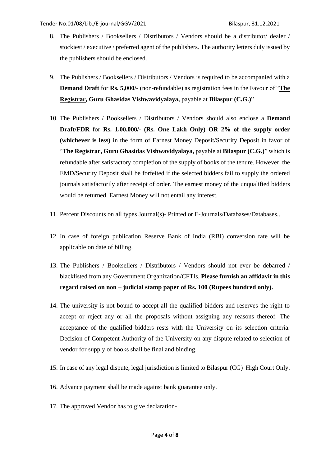- 8. The Publishers / Booksellers / Distributors / Vendors should be a distributor/ dealer / stockiest / executive / preferred agent of the publishers. The authority letters duly issued by the publishers should be enclosed.
- 9. The Publishers / Booksellers / Distributors / Vendors is required to be accompanied with a **Demand Draft** for **Rs. 5,000/**- (non-refundable) as registration fees in the Favour of "**The Registrar, Guru Ghasidas Vishwavidyalaya,** payable at **Bilaspur (C.G.)**"
- 10. The Publishers / Booksellers / Distributors / Vendors should also enclose a **Demand Draft/FDR** for **Rs. 1,00,000/- (Rs. One Lakh Only) OR 2% of the supply order (whichever is less)** in the form of Earnest Money Deposit/Security Deposit in favor of "**The Registrar, Guru Ghasidas Vishwavidyalaya,** payable at **Bilaspur (C.G.)**" which is refundable after satisfactory completion of the supply of books of the tenure. However, the EMD/Security Deposit shall be forfeited if the selected bidders fail to supply the ordered journals satisfactorily after receipt of order. The earnest money of the unqualified bidders would be returned. Earnest Money will not entail any interest.
- 11. Percent Discounts on all types Journal(s)- Printed or E-Journals/Databases/Databases..
- 12. In case of foreign publication Reserve Bank of India (RBI) conversion rate will be applicable on date of billing.
- 13. The Publishers / Booksellers / Distributors / Vendors should not ever be debarred / blacklisted from any Government Organization/CFTIs. **Please furnish an affidavit in this regard raised on non – judicial stamp paper of Rs. 100 (Rupees hundred only).**
- 14. The university is not bound to accept all the qualified bidders and reserves the right to accept or reject any or all the proposals without assigning any reasons thereof. The acceptance of the qualified bidders rests with the University on its selection criteria. Decision of Competent Authority of the University on any dispute related to selection of vendor for supply of books shall be final and binding.
- 15. In case of any legal dispute, legal jurisdiction is limited to Bilaspur (CG) High Court Only.
- 16. Advance payment shall be made against bank guarantee only.
- 17. The approved Vendor has to give declaration-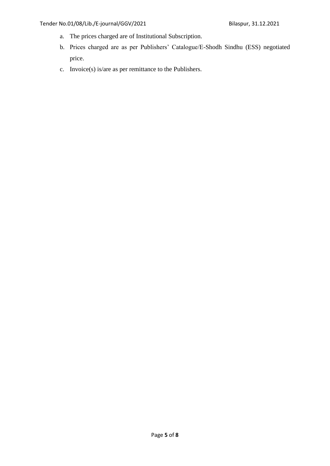- a. The prices charged are of Institutional Subscription.
- b. Prices charged are as per Publishers' Catalogue/E-Shodh Sindhu (ESS) negotiated price.
- c. Invoice(s) is/are as per remittance to the Publishers.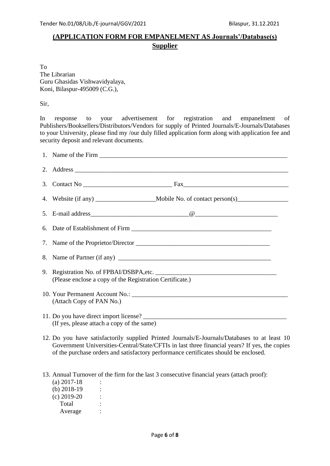### **(APPLICATION FORM FOR EMPANELMENT AS Journals'/Database(s) Supplier**

To The Librarian Guru Ghasidas Vishwavidyalaya, Koni, Bilaspur-495009 (C.G.),

Sir,

In response to your advertisement for registration and empanelment of Publishers/Booksellers/Distributors/Vendors for supply of Printed Journals/E-Journals/Databases to your University, please find my /our duly filled application form along with application fee and security deposit and relevant documents.

| (Please enclose a copy of the Registration Certificate.)                                                                                                                                                                                                                              |
|---------------------------------------------------------------------------------------------------------------------------------------------------------------------------------------------------------------------------------------------------------------------------------------|
| (Attach Copy of PAN No.)                                                                                                                                                                                                                                                              |
| (If yes, please attach a copy of the same)                                                                                                                                                                                                                                            |
| 12. Do you have satisfactorily supplied Printed Journals/E-Journals/Databases to at least 10<br>Government Universities-Central/State/CFTIs in last three financial years? If yes, the copies<br>of the purchase orders and satisfactory performance certificates should be enclosed. |

13. Annual Turnover of the firm for the last 3 consecutive financial years (attach proof):

| (a) 2017-18   |  |
|---------------|--|
| (b) $2018-19$ |  |
| $(c)$ 2019-20 |  |
| Total         |  |
| Average       |  |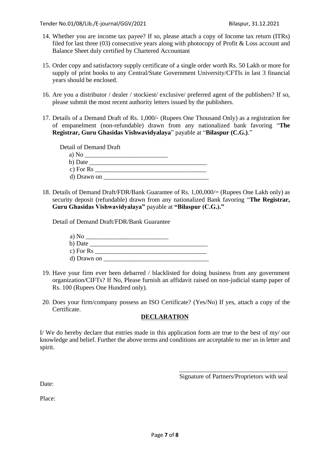- 14. Whether you are income tax payee? If so, please attach a copy of Income tax return (ITRs) filed for last three (03) consecutive years along with photocopy of Profit & Loss account and Balance Sheet duly certified by Chartered Accountant
- 15. Order copy and satisfactory supply certificate of a single order worth Rs. 50 Lakh or more for supply of print books to any Central/State Government University/CFTIs in last 3 financial years should be enclosed.
- 16. Are you a distributor / dealer / stockiest/ exclusive/ preferred agent of the publishers? If so, please submit the most recent authority letters issued by the publishers.
- 17. Details of a Demand Draft of Rs. 1,000/‐ (Rupees One Thousand Only) as a registration fee of empanelment (non-refundable) drawn from any nationalized bank favoring "**The Registrar, Guru Ghasidas Vishwavidyalaya**" payable at "**Bilaspur (C.G.)**."

Detail of Demand Draft

| a) No       |  |
|-------------|--|
| b) Date     |  |
| c) For $Rs$ |  |
| d) Drawn on |  |

18. Details of Demand Draft/FDR/Bank Guarantee of Rs. 1,00,000/= (Rupees One Lakh only) as security deposit (refundable) drawn from any nationalized Bank favoring "**The Registrar, Guru Ghasidas Vishwavidyalaya"** payable at **"Bilaspur (C.G.)."**

Detail of Demand Draft/FDR/Bank Guarantee

| a) No       |  |
|-------------|--|
| b) Date     |  |
| c) For $Rs$ |  |
| d) Drawn on |  |

- 19. Have your firm ever been debarred / blacklisted for doing business from any government organization/CIFTs? If No, Please furnish an affidavit raised on non-judicial stamp paper of Rs. 100 (Rupees One Hundred only).
- 20. Does your firm/company possess an ISO Certificate? (Yes/No) If yes, attach a copy of the Certificate.

#### **DECLARATION**

I/ We do hereby declare that entries made in this application form are true to the best of my/ our knowledge and belief. Further the above terms and conditions are acceptable to me/ us in letter and spirit.

> \_\_\_\_\_\_\_\_\_\_\_\_\_\_\_\_\_\_\_\_\_\_\_\_\_\_\_\_\_\_\_\_\_\_ Signature of Partners/Proprietors with seal

Date:

Place: